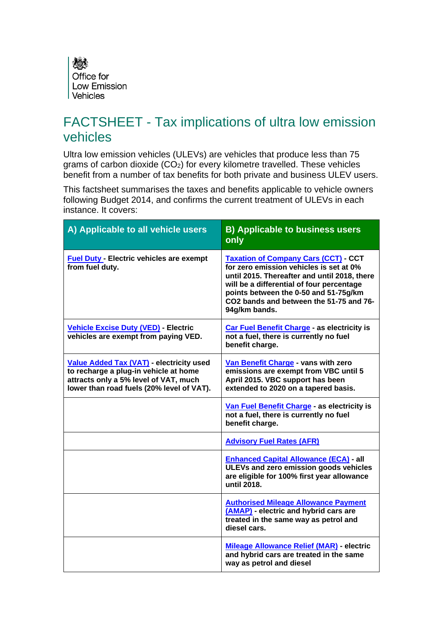

# FACTSHEET - Tax implications of ultra low emission vehicles

Ultra low emission vehicles (ULEVs) are vehicles that produce less than 75 grams of carbon dioxide (CO<sub>2</sub>) for every kilometre travelled. These vehicles benefit from a number of tax benefits for both private and business ULEV users.

This factsheet summarises the taxes and benefits applicable to vehicle owners following Budget 2014, and confirms the current treatment of ULEVs in each instance. It covers:

| A) Applicable to all vehicle users                                                                                                                                      | <b>B) Applicable to business users</b><br>only                                                                                                                                                                                                                                         |
|-------------------------------------------------------------------------------------------------------------------------------------------------------------------------|----------------------------------------------------------------------------------------------------------------------------------------------------------------------------------------------------------------------------------------------------------------------------------------|
| <b>Fuel Duty - Electric vehicles are exempt</b><br>from fuel duty.                                                                                                      | <b>Taxation of Company Cars (CCT) CCT</b><br>for zero emission vehicles is set at 0%<br>until 2015. Thereafter and until 2018, there<br>will be a differential of four percentage<br>points between the 0-50 and 51-75g/km<br>CO2 bands and between the 51-75 and 76-<br>94g/km bands. |
| <b>Vehicle Excise Duty (VED) - Electric</b><br>vehicles are exempt from paying VED.                                                                                     | Car Fuel Benefit Charge - as electricity is<br>not a fuel, there is currently no fuel<br>benefit charge.                                                                                                                                                                               |
| Value Added Tax (VAT) - electricity used<br>to recharge a plug-in vehicle at home<br>attracts only a 5% level of VAT, much<br>lower than road fuels (20% level of VAT). | Van Benefit Charge - vans with zero<br>emissions are exempt from VBC until 5<br>April 2015. VBC support has been<br>extended to 2020 on a tapered basis.                                                                                                                               |
|                                                                                                                                                                         | Van Fuel Benefit Charge - as electricity is<br>not a fuel, there is currently no fuel<br>benefit charge.                                                                                                                                                                               |
|                                                                                                                                                                         | <b>Advisory Fuel Rates (AFR)</b>                                                                                                                                                                                                                                                       |
|                                                                                                                                                                         | <b>Enhanced Capital Allowance (ECA) - all</b><br>ULEVs and zero emission goods vehicles<br>are eligible for 100% first year allowance<br>until 2018.                                                                                                                                   |
|                                                                                                                                                                         | <b>Authorised Mileage Allowance Payment</b><br>(AMAP) - electric and hybrid cars are<br>treated in the same way as petrol and<br>diesel cars.                                                                                                                                          |
|                                                                                                                                                                         | <b>Mileage Allowance Relief (MAR) - electric</b><br>and hybrid cars are treated in the same<br>way as petrol and diesel                                                                                                                                                                |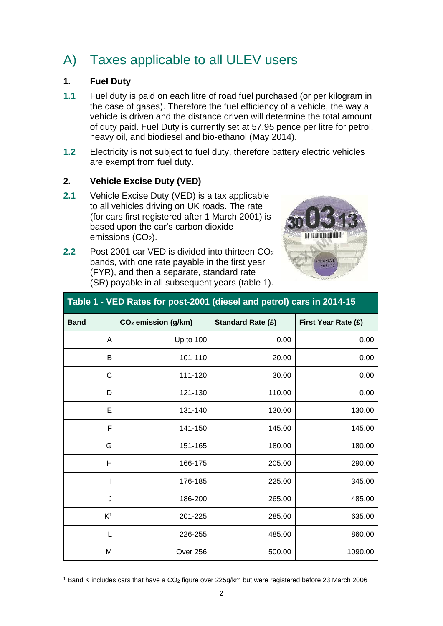# A) Taxes applicable to all ULEV users

#### <span id="page-1-0"></span>**1. Fuel Duty**

- **1.1** Fuel duty is paid on each litre of road fuel purchased (or per kilogram in the case of gases). Therefore the fuel efficiency of a vehicle, the way a vehicle is driven and the distance driven will determine the total amount of duty paid. Fuel Duty is currently set at 57.95 pence per litre for petrol, heavy oil, and biodiesel and bio-ethanol (May 2014).
- **1.2** Electricity is not subject to fuel duty, therefore battery electric vehicles are exempt from fuel duty.

#### <span id="page-1-1"></span>**2. Vehicle Excise Duty (VED)**

**2.1** Vehicle Excise Duty (VED) is a tax applicable to all vehicles driving on UK roads. The rate (for cars first registered after 1 March 2001) is based upon the car's carbon dioxide emissions  $(CO<sub>2</sub>)$ .



| 2.2 | Post 2001 car VED is divided into thirteen CO <sub>2</sub> |
|-----|------------------------------------------------------------|
|     | bands, with one rate payable in the first year             |
|     | (FYR), and then a separate, standard rate                  |
|     | (SR) payable in all subsequent years (table 1).            |

| <b>Band</b>    | CO <sub>2</sub> emission (g/km) | <b>Standard Rate (£)</b> | First Year Rate (£) |  |
|----------------|---------------------------------|--------------------------|---------------------|--|
| A              | Up to 100                       | 0.00                     | 0.00                |  |
| B              | 101-110                         | 20.00                    | 0.00                |  |
| C              | 111-120                         | 30.00                    | 0.00                |  |
| D              | 121-130                         | 110.00                   | 0.00                |  |
| E              | 131-140                         | 130.00                   | 130.00              |  |
| F              | 141-150                         | 145.00                   | 145.00              |  |
| G              | 151-165                         | 180.00                   | 180.00              |  |
| H              | 166-175                         | 205.00                   | 290.00              |  |
|                | 176-185                         | 225.00                   | 345.00              |  |
| J              | 186-200                         | 265.00                   | 485.00              |  |
| K <sup>1</sup> | 201-225                         | 285.00                   | 635.00              |  |
| L              | 226-255                         | 485.00                   | 860.00              |  |
| M              | Over 256                        | 500.00                   | 1090.00             |  |
|                |                                 |                          |                     |  |

## **Table 1 - VED Rates for post-2001 (diesel and petrol) cars in 2014-15**

l <sup>1</sup> Band K includes cars that have a CO<sup>2</sup> figure over 225g/km but were registered before 23 March 2006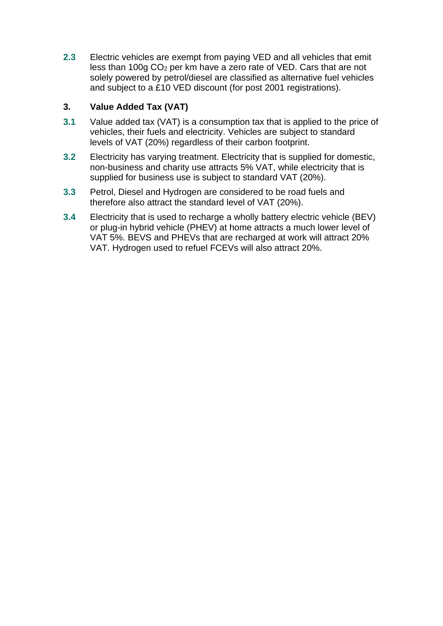<span id="page-2-0"></span>**2.3** Electric vehicles are exempt from paying VED and all vehicles that emit less than 100g CO<sup>2</sup> per km have a zero rate of VED. Cars that are not solely powered by petrol/diesel are classified as alternative fuel vehicles and subject to a £10 VED discount (for post 2001 registrations).

### **3. Value Added Tax (VAT)**

- **3.1** Value added tax (VAT) is a consumption tax that is applied to the price of vehicles, their fuels and electricity. Vehicles are subject to standard levels of VAT (20%) regardless of their carbon footprint.
- **3.2** Electricity has varying treatment. Electricity that is supplied for domestic, non-business and charity use attracts 5% VAT, while electricity that is supplied for business use is subject to standard VAT (20%).
- **3.3** Petrol, Diesel and Hydrogen are considered to be road fuels and therefore also attract the standard level of VAT (20%).
- **3.4** Electricity that is used to recharge a wholly battery electric vehicle (BEV) or plug-in hybrid vehicle (PHEV) at home attracts a much lower level of VAT 5%. BEVS and PHEVs that are recharged at work will attract 20% VAT. Hydrogen used to refuel FCEVs will also attract 20%.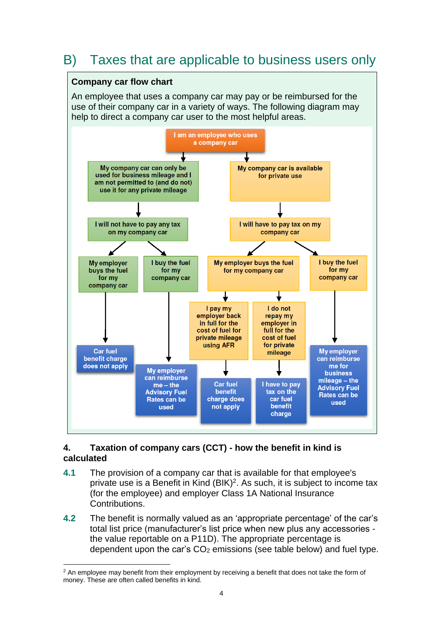# B) Taxes that are applicable to business users only

#### **Company car flow chart**

An employee that uses a company car may pay or be reimbursed for the use of their company car in a variety of ways. The following diagram may help to direct a company car user to the most helpful areas.



#### <span id="page-3-0"></span>**4. Taxation of company cars (CCT) - how the benefit in kind is calculated**

- **4.1** The provision of a company car that is available for that employee's private use is a Benefit in Kind (BIK)<sup>2</sup>. As such, it is subject to income tax (for the employee) and employer Class 1A National Insurance Contributions.
- **4.2** The benefit is normally valued as an 'appropriate percentage' of the car's total list price (manufacturer's list price when new plus any accessories the value reportable on a P11D). The appropriate percentage is dependent upon the car's  $CO<sub>2</sub>$  emissions (see table below) and fuel type.

l <sup>2</sup> An employee may benefit from their employment by receiving a benefit that does not take the form of money. These are often called benefits in kind.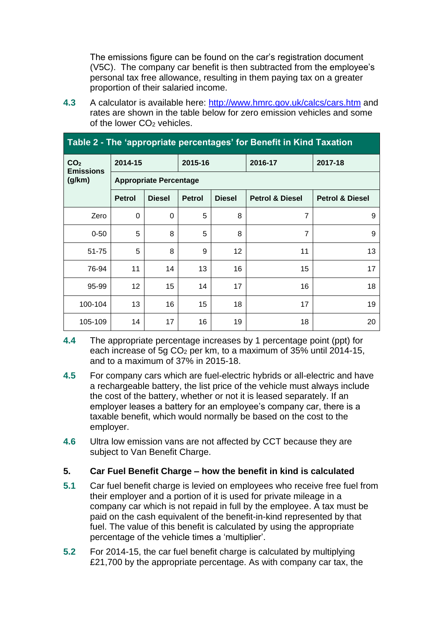The emissions figure can be found on the car's registration document (V5C). The company car benefit is then subtracted from the employee's personal tax free allowance, resulting in them paying tax on a greater proportion of their salaried income.

**4.3** A calculator is available here:<http://www.hmrc.gov.uk/calcs/cars.htm> and rates are shown in the table below for zero emission vehicles and some of the lower CO<sub>2</sub> vehicles.

| Table 2 - The 'appropriate percentages' for Benefit in Kind Taxation |                               |               |               |                   |                            |                            |  |
|----------------------------------------------------------------------|-------------------------------|---------------|---------------|-------------------|----------------------------|----------------------------|--|
| CO <sub>2</sub><br><b>Emissions</b>                                  | 2014-15                       |               | 2015-16       |                   | 2016-17                    | 2017-18                    |  |
| (g/km)                                                               | <b>Appropriate Percentage</b> |               |               |                   |                            |                            |  |
|                                                                      | <b>Petrol</b>                 | <b>Diesel</b> | <b>Petrol</b> | <b>Diesel</b>     | <b>Petrol &amp; Diesel</b> | <b>Petrol &amp; Diesel</b> |  |
| Zero                                                                 | 0                             | 0             | 5             | 8                 | 7                          | 9                          |  |
| $0 - 50$                                                             | 5                             | 8             | 5             | 8                 | 7                          | 9                          |  |
| $51 - 75$                                                            | 5                             | 8             | 9             | $12 \overline{ }$ | 11                         | 13                         |  |
| 76-94                                                                | 11                            | 14            | 13            | 16                | 15                         | 17                         |  |
| 95-99                                                                | 12                            | 15            | 14            | 17                | 16                         | 18                         |  |
| 100-104                                                              | 13                            | 16            | 15            | 18                | 17                         | 19                         |  |
| 105-109                                                              | 14                            | 17            | 16            | 19                | 18                         | 20                         |  |

- **4.4** The appropriate percentage increases by 1 percentage point (ppt) for each increase of  $5q CO<sub>2</sub>$  per km, to a maximum of 35% until 2014-15, and to a maximum of 37% in 2015-18.
- **4.5** For company cars which are fuel-electric hybrids or all-electric and have a rechargeable battery, the list price of the vehicle must always include the cost of the battery, whether or not it is leased separately. If an employer leases a battery for an employee's company car, there is a taxable benefit, which would normally be based on the cost to the employer.
- **4.6** Ultra low emission vans are not affected by CCT because they are subiect to Van Benefit Charge.

#### <span id="page-4-0"></span>**5. Car Fuel Benefit Charge – how the benefit in kind is calculated**

- **5.1** Car fuel benefit charge is levied on employees who receive free fuel from their employer and a portion of it is used for private mileage in a company car which is not repaid in full by the employee. A tax must be paid on the cash equivalent of the benefit-in-kind represented by that fuel. The value of this benefit is calculated by using the appropriate percentage of the vehicle times a 'multiplier'.
- **5.2** For 2014-15, the car fuel benefit charge is calculated by multiplying £21,700 by the appropriate percentage. As with company car tax, the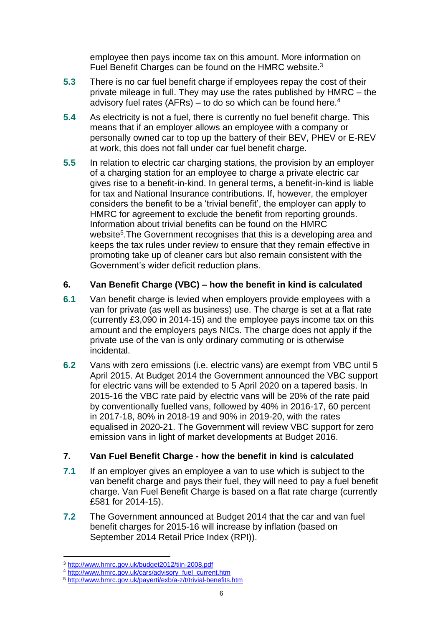employee then pays income tax on this amount. More information on Fuel Benefit Charges can be found on the HMRC website.<sup>3</sup>

- **5.3** There is no car fuel benefit charge if employees repay the cost of their private mileage in full. They may use the rates published by HMRC – the advisory fuel rates (AFRs) – to do so which can be found here. 4
- **5.4** As electricity is not a fuel, there is currently no fuel benefit charge. This means that if an employer allows an employee with a company or personally owned car to top up the battery of their BEV, PHEV or E-REV at work, this does not fall under car fuel benefit charge.
- **5.5** In relation to electric car charging stations, the provision by an employer of a charging station for an employee to charge a private electric car gives rise to a benefit-in-kind. In general terms, a benefit-in-kind is liable for tax and National Insurance contributions. If, however, the employer considers the benefit to be a 'trivial benefit', the employer can apply to HMRC for agreement to exclude the benefit from reporting grounds. Information about trivial benefits can be found on the HMRC website<sup>5</sup>. The Government recognises that this is a developing area and keeps the tax rules under review to ensure that they remain effective in promoting take up of cleaner cars but also remain consistent with the Government's wider deficit reduction plans.

#### <span id="page-5-0"></span>**6. Van Benefit Charge (VBC) – how the benefit in kind is calculated**

- **6.1** Van benefit charge is levied when employers provide employees with a van for private (as well as business) use. The charge is set at a flat rate (currently £3,090 in 2014-15) and the employee pays income tax on this amount and the employers pays NICs. The charge does not apply if the private use of the van is only ordinary commuting or is otherwise incidental.
- **6.2** Vans with zero emissions (i.e. electric vans) are exempt from VBC until 5 April 2015. At Budget 2014 the Government announced the VBC support for electric vans will be extended to 5 April 2020 on a tapered basis. In 2015-16 the VBC rate paid by electric vans will be 20% of the rate paid by conventionally fuelled vans, followed by 40% in 2016-17, 60 percent in 2017-18, 80% in 2018-19 and 90% in 2019-20, with the rates equalised in 2020-21. The Government will review VBC support for zero emission vans in light of market developments at Budget 2016.

### <span id="page-5-1"></span>**7. Van Fuel Benefit Charge - how the benefit in kind is calculated**

- **7.1** If an employer gives an employee a van to use which is subject to the van benefit charge and pays their fuel, they will need to pay a fuel benefit charge. Van Fuel Benefit Charge is based on a flat rate charge (currently £581 for 2014-15).
- **7.2** The Government announced at Budget 2014 that the car and van fuel benefit charges for 2015-16 will increase by inflation (based on September 2014 Retail Price Index (RPI)).

l <sup>3</sup> <http://www.hmrc.gov.uk/budget2012/tiin-2008.pdf>

<sup>4</sup> [http://www.hmrc.gov.uk/cars/advisory\\_fuel\\_current.htm](http://www.hmrc.gov.uk/cars/advisory_fuel_current.htm)

<sup>5</sup> <http://www.hmrc.gov.uk/payerti/exb/a-z/t/trivial-benefits.htm>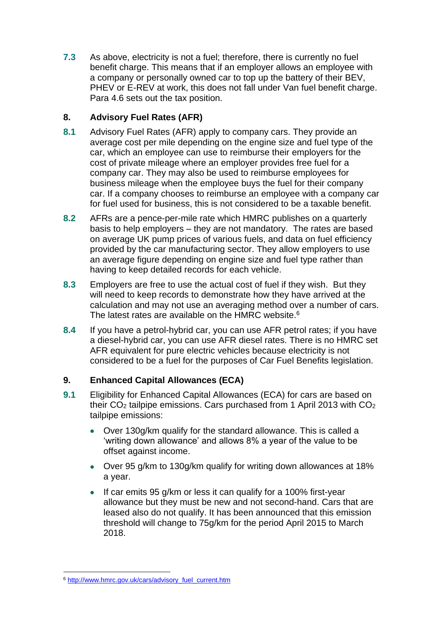**7.3** As above, electricity is not a fuel; therefore, there is currently no fuel benefit charge. This means that if an employer allows an employee with a company or personally owned car to top up the battery of their BEV, PHEV or E-REV at work, this does not fall under Van fuel benefit charge. Para 4.6 sets out the tax position.

### <span id="page-6-0"></span>**8. Advisory Fuel Rates (AFR)**

- **8.1** Advisory Fuel Rates (AFR) apply to company cars. They provide an average cost per mile depending on the engine size and fuel type of the car, which an employee can use to reimburse their employers for the cost of private mileage where an employer provides free fuel for a company car. They may also be used to reimburse employees for business mileage when the employee buys the fuel for their company car. If a company chooses to reimburse an employee with a company car for fuel used for business, this is not considered to be a taxable benefit.
- **8.2** AFRs are a pence-per-mile rate which HMRC publishes on a quarterly basis to help employers – they are not mandatory. The rates are based on average UK pump prices of various fuels, and data on fuel efficiency provided by the car manufacturing sector. They allow employers to use an average figure depending on engine size and fuel type rather than having to keep detailed records for each vehicle.
- **8.3** Employers are free to use the actual cost of fuel if they wish. But they will need to keep records to demonstrate how they have arrived at the calculation and may not use an averaging method over a number of cars. The latest rates are available on the HMRC website.<sup>6</sup>
- **8.4** If you have a petrol-hybrid car, you can use AFR petrol rates; if you have a diesel-hybrid car, you can use AFR diesel rates. There is no HMRC set AFR equivalent for pure electric vehicles because electricity is not considered to be a fuel for the purposes of Car Fuel Benefits legislation.

#### <span id="page-6-1"></span>**9. Enhanced Capital Allowances (ECA)**

- **9.1** Eligibility for Enhanced Capital Allowances (ECA) for cars are based on their CO<sup>2</sup> tailpipe emissions. Cars purchased from 1 April 2013 with CO<sup>2</sup> tailpipe emissions:
	- Over 130g/km qualify for the standard allowance. This is called a 'writing down allowance' and allows 8% a year of the value to be offset against income.
	- Over 95 g/km to 130g/km qualify for writing down allowances at 18% a year.
	- If car emits 95 g/km or less it can qualify for a 100% first-year allowance but they must be new and not second-hand. Cars that are leased also do not qualify. It has been announced that this emission threshold will change to 75g/km for the period April 2015 to March 2018.

l <sup>6</sup> [http://www.hmrc.gov.uk/cars/advisory\\_fuel\\_current.htm](http://www.hmrc.gov.uk/cars/advisory_fuel_current.htm)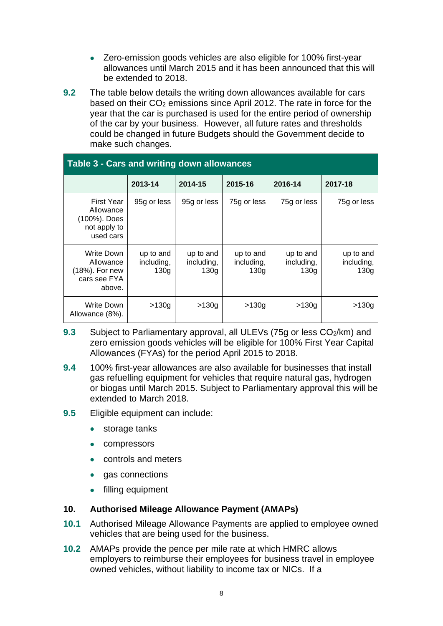- Zero-emission goods vehicles are also eligible for 100% first-year allowances until March 2015 and it has been announced that this will be extended to 2018.
- **9.2** The table below details the writing down allowances available for cars based on their CO<sub>2</sub> emissions since April 2012. The rate in force for the year that the car is purchased is used for the entire period of ownership of the car by your business. However, all future rates and thresholds could be changed in future Budgets should the Government decide to make such changes.

| Table 3 - Cars and writing down allowances                                  |                                 |                                             |                                 |                                 |                                 |
|-----------------------------------------------------------------------------|---------------------------------|---------------------------------------------|---------------------------------|---------------------------------|---------------------------------|
|                                                                             | 2013-14                         | 2014-15                                     | 2015-16                         | 2016-14                         | 2017-18                         |
| <b>First Year</b><br>Allowance<br>(100%). Does<br>not apply to<br>used cars | 95g or less                     | 95g or less                                 | 75g or less                     | 75g or less                     | 75g or less                     |
| Write Down<br>Allowance<br>(18%). For new<br>cars see FYA<br>above.         | up to and<br>including,<br>130a | up to and<br>including,<br>130 <sub>q</sub> | up to and<br>including,<br>130a | up to and<br>including,<br>130q | up to and<br>including,<br>130g |
| Write Down<br>Allowance (8%).                                               | >130g                           | >130g                                       | >130g                           | >130g                           | >130g                           |

- **9.3** Subject to Parliamentary approval, all ULEVs (75g or less CO<sub>2</sub>/km) and zero emission goods vehicles will be eligible for 100% First Year Capital Allowances (FYAs) for the period April 2015 to 2018.
- **9.4** 100% first-year allowances are also available for businesses that install gas refuelling equipment for vehicles that require natural gas, hydrogen or biogas until March 2015. Subject to Parliamentary approval this will be extended to March 2018.
- **9.5** Eligible equipment can include:
	- storage tanks
	- compressors
	- controls and meters
	- gas connections
	- filling equipment

#### <span id="page-7-0"></span>**10. Authorised Mileage Allowance Payment (AMAPs)**

- **10.1** Authorised Mileage Allowance Payments are applied to employee owned vehicles that are being used for the business.
- **10.2** AMAPs provide the pence per mile rate at which HMRC allows employers to reimburse their employees for business travel in employee owned vehicles, without liability to income tax or NICs. If a